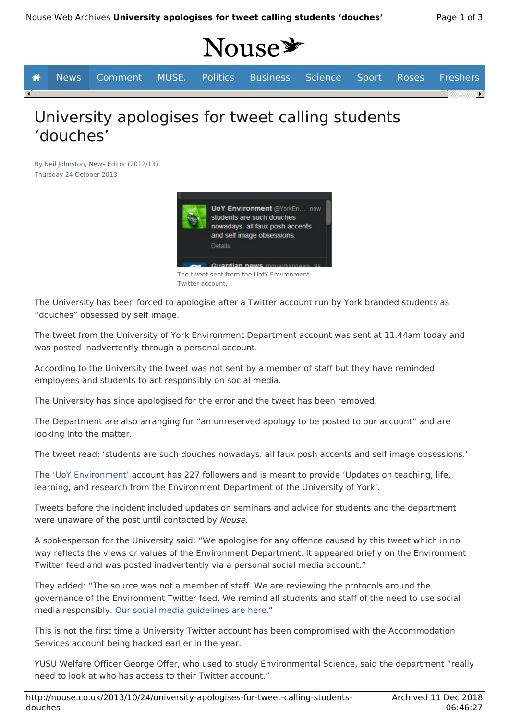# Nouse\*

|                     | <b>A</b> News Comment MUSE. Politics Business Science Sport Roses Freshers |  |  |  |  |
|---------------------|----------------------------------------------------------------------------|--|--|--|--|
| $\vert \cdot \vert$ |                                                                            |  |  |  |  |
|                     |                                                                            |  |  |  |  |

## University apologises for tweet calling students 'douches'

By Neil Johnston, News Editor (2012/13) Thursday 24 October 2013



The tweet sent from the UofY Environment Twitter account.

The University has been forced to apologise after a Twitter account run by York branded students as "douches" obsessed by self image.

The tweet from the University of York Environment Department account was sent at 11.44am today and was posted inadvertently through a personal account.

According to the University the tweet was not sent by a member of staff but they have reminded employees and students to act responsibly on social media.

The University has since apologised for the error and the tweet has been removed.

The Department are also arranging for "an unreserved apology to be posted to our account" and are looking into the matter.

The tweet read: 'students are such douches nowadays. all faux posh accents and self image obsessions.'

The 'UoY Environment' account has 227 followers and is meant to provide 'Updates on teaching, life, learning, and research from the Environment Department of the University of York'.

Tweets before the incident included updates on seminars and advice for students and the department were unaware of the post until contacted by Nouse.

A spokesperson for the University said: "We apologise for any offence caused by this tweet which in no way reflects the views or values of the Environment Department. It appeared briefly on the Environment Twitter feed and was posted inadvertently via a personal social media account."

They added: "The source was not a member of staff. We are reviewing the protocols around the governance of the Environment Twitter feed. We remind all students and staff of the need to use social media responsibly. Our social media guidelines are here."

This is not the first time a University Twitter account has been compromised with the Accommodation Services account being hacked earlier in the year.

YUSU Welfare Officer George Offer, who used to study Environmental Science, said the department "really need to look at who has access to their Twitter account."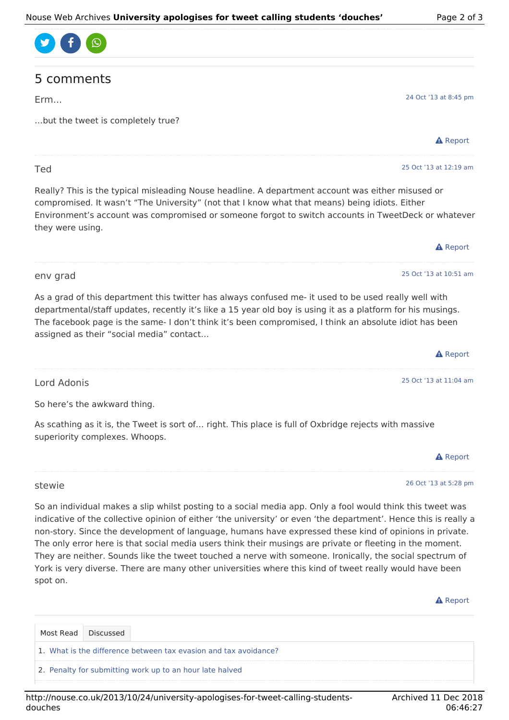

### 5 comments

Erm...

Ted

…but the tweet is completely true?

 $\triangle$  Report

25 Oct '13 at 12:19 am

25 Oct '13 at 10:51 am

24 Oct '13 at 8:45 pm

Really? This is the typical misleading Nouse headline. A department account was either misused or compromised. It wasn't "The University" (not that I know what that means) being idiots. Either Environment's account was compromised or someone forgot to switch accounts in TweetDeck or whatever they were using.

| <b>A</b> Report |
|-----------------|
|                 |

#### env grad

As a grad of this department this twitter has always confused me- it used to be used really well with departmental/staff updates, recently it's like a 15 year old boy is using it as a platform for his musings. The facebook page is the same- I don't think it's been compromised, I think an absolute idiot has been assigned as their "social media" contact…

|             | <b>A</b> Report        |
|-------------|------------------------|
|             |                        |
| Lord Adonis | 25 Oct '13 at 11:04 am |

So here's the awkward thing.

As scathing as it is, the Tweet is sort of… right. This place is full of Oxbridge rejects with massive superiority complexes. Whoops.



#### 26 Oct '13 at 5:28 pm

stewie

spot on.

So an individual makes a slip whilst posting to a social media app. Only a fool would think this tweet was indicative of the collective opinion of either 'the university' or even 'the department'. Hence this is really a non-story. Since the development of language, humans have expressed these kind of opinions in private. The only error here is that social media users think their musings are private or fleeting in the moment. They are neither. Sounds like the tweet touched a nerve with someone. Ironically, the social spectrum of

#### **A** Report

| Most Read Discussed                                                      |
|--------------------------------------------------------------------------|
| $\vert$ 1. What is the difference between tax evasion and tax avoidance? |
| 2. Penalty for submitting work up to an hour late halved                 |

York is very diverse. There are many other universities where this kind of tweet really would have been